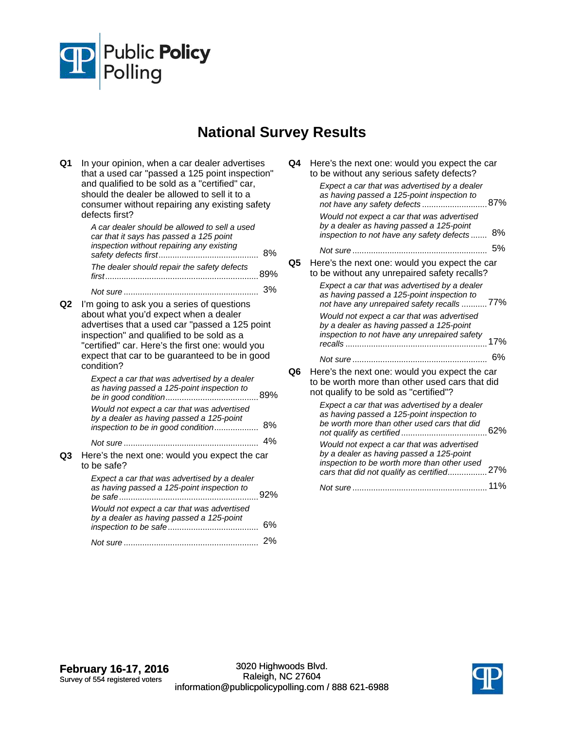

## **National Survey Results**

| Q1 | In your opinion, when a car dealer advertises<br>that a used car "passed a 125 point inspection"<br>and qualified to be sold as a "certified" car,<br>should the dealer be allowed to sell it to a<br>consumer without repairing any existing safety<br>defects first?                                 |     |
|----|--------------------------------------------------------------------------------------------------------------------------------------------------------------------------------------------------------------------------------------------------------------------------------------------------------|-----|
|    | A car dealer should be allowed to sell a used<br>car that it says has passed a 125 point<br>inspection without repairing any existing                                                                                                                                                                  | 8%  |
|    | The dealer should repair the safety defects                                                                                                                                                                                                                                                            |     |
|    |                                                                                                                                                                                                                                                                                                        | 3%  |
| Q2 | I'm going to ask you a series of questions<br>about what you'd expect when a dealer<br>advertises that a used car "passed a 125 point<br>inspection" and qualified to be sold as a<br>"certified" car. Here's the first one: would you<br>expect that car to be guaranteed to be in good<br>condition? |     |
|    | Expect a car that was advertised by a dealer<br>as having passed a 125-point inspection to                                                                                                                                                                                                             |     |
|    | Would not expect a car that was advertised<br>by a dealer as having passed a 125-point<br>inspection to be in good condition                                                                                                                                                                           | 8%  |
|    |                                                                                                                                                                                                                                                                                                        | 4%  |
| Q3 | Here's the next one: would you expect the car<br>to be safe?                                                                                                                                                                                                                                           |     |
|    | Expect a car that was advertised by a dealer<br>as having passed a 125-point inspection to                                                                                                                                                                                                             | 92% |
|    | Would not expect a car that was advertised<br>by a dealer as having passed a 125-point                                                                                                                                                                                                                 | 6%  |
|    |                                                                                                                                                                                                                                                                                                        | 2%  |
|    |                                                                                                                                                                                                                                                                                                        |     |

| Q4 | Here's the next one: would you expect the car<br>to be without any serious safety defects?<br>Expect a car that was advertised by a dealer<br>as having passed a 125-point inspection to<br>not have any safety defects 87%<br>Would not expect a car that was advertised |
|----|---------------------------------------------------------------------------------------------------------------------------------------------------------------------------------------------------------------------------------------------------------------------------|
|    | by a dealer as having passed a 125-point<br>8%<br>inspection to not have any safety defects                                                                                                                                                                               |
|    | 5%                                                                                                                                                                                                                                                                        |
| Q5 | Here's the next one: would you expect the car<br>to be without any unrepaired safety recalls?<br>Expect a car that was advertised by a dealer<br>as having passed a 125-point inspection to<br>not have any unrepaired safety recalls 77%                                 |
|    | Would not expect a car that was advertised<br>by a dealer as having passed a 125-point<br>inspection to not have any unrepaired safety                                                                                                                                    |
|    | 6%                                                                                                                                                                                                                                                                        |
| Q6 | Here's the next one: would you expect the car<br>to be worth more than other used cars that did<br>not qualify to be sold as "certified"?                                                                                                                                 |
|    | Expect a car that was advertised by a dealer<br>as having passed a 125-point inspection to<br>be worth more than other used cars that did<br>62%                                                                                                                          |
|    | Would not expect a car that was advertised<br>by a dealer as having passed a 125-point<br>inspection to be worth more than other used<br>cars that did not qualify as certified 27%                                                                                       |
|    |                                                                                                                                                                                                                                                                           |

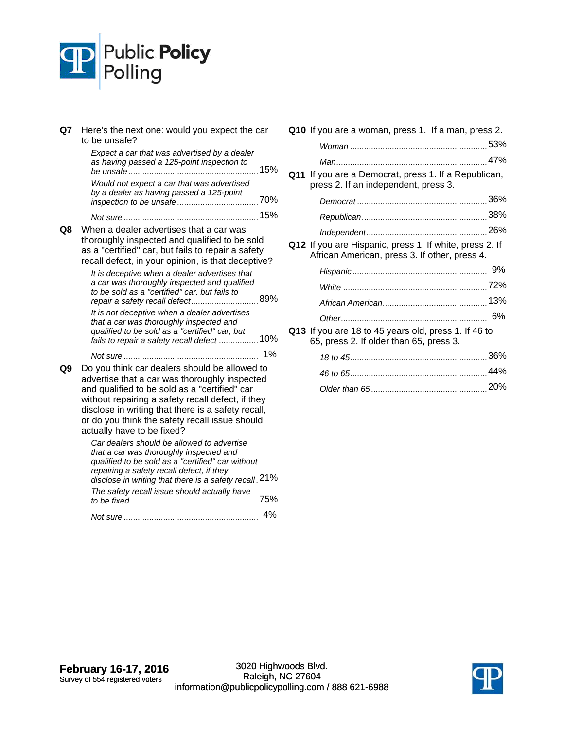

| Q7 I | Here's the next one: would you expect the car<br>to be unsafe?                                                                                                                                                                                                                                                                             |     |
|------|--------------------------------------------------------------------------------------------------------------------------------------------------------------------------------------------------------------------------------------------------------------------------------------------------------------------------------------------|-----|
|      | Expect a car that was advertised by a dealer<br>as having passed a 125-point inspection to<br>be unsafe                                                                                                                                                                                                                                    | 15% |
|      | Would not expect a car that was advertised<br>by a dealer as having passed a 125-point                                                                                                                                                                                                                                                     |     |
|      |                                                                                                                                                                                                                                                                                                                                            | 15% |
| Q8   | When a dealer advertises that a car was<br>thoroughly inspected and qualified to be sold<br>as a "certified" car, but fails to repair a safety<br>recall defect, in your opinion, is that deceptive?                                                                                                                                       |     |
|      | It is deceptive when a dealer advertises that<br>a car was thoroughly inspected and qualified<br>to be sold as a "certified" car, but fails to<br>repair a safety recall defect 89%                                                                                                                                                        |     |
|      | It is not deceptive when a dealer advertises<br>that a car was thoroughly inspected and<br>qualified to be sold as a "certified" car, but<br>fails to repair a safety recall defect  10%                                                                                                                                                   |     |
|      |                                                                                                                                                                                                                                                                                                                                            | 1%  |
| Q9   | Do you think car dealers should be allowed to<br>advertise that a car was thoroughly inspected<br>and qualified to be sold as a "certified" car<br>without repairing a safety recall defect, if they<br>disclose in writing that there is a safety recall,<br>or do you think the safety recall issue should<br>actually have to be fixed? |     |
|      | Car dealers should be allowed to advertise<br>that a car was thoroughly inspected and<br>qualified to be sold as a "certified" car without<br>repairing a safety recall defect, if they<br>disclose in writing that there is a safety recall. 21%                                                                                          |     |

| alooloo in writing that thore is a sarety robal.<br>The safety recall issue should actually have | 75% |
|--------------------------------------------------------------------------------------------------|-----|
|                                                                                                  | 4%  |

| Q10 If you are a woman, press 1. If a man, press 2. |                                                                                                          |  |
|-----------------------------------------------------|----------------------------------------------------------------------------------------------------------|--|
|                                                     |                                                                                                          |  |
|                                                     |                                                                                                          |  |
|                                                     | Q11 If you are a Democrat, press 1. If a Republican,<br>press 2. If an independent, press 3.             |  |
|                                                     |                                                                                                          |  |
|                                                     |                                                                                                          |  |
|                                                     |                                                                                                          |  |
|                                                     | Q12 If you are Hispanic, press 1. If white, press 2. If<br>African American, press 3. If other, press 4. |  |
|                                                     |                                                                                                          |  |
|                                                     |                                                                                                          |  |
|                                                     |                                                                                                          |  |
|                                                     |                                                                                                          |  |
|                                                     | Q13 If you are 18 to 45 years old, press 1. If 46 to<br>65, press 2. If older than 65, press 3.          |  |
|                                                     |                                                                                                          |  |
|                                                     |                                                                                                          |  |
|                                                     |                                                                                                          |  |

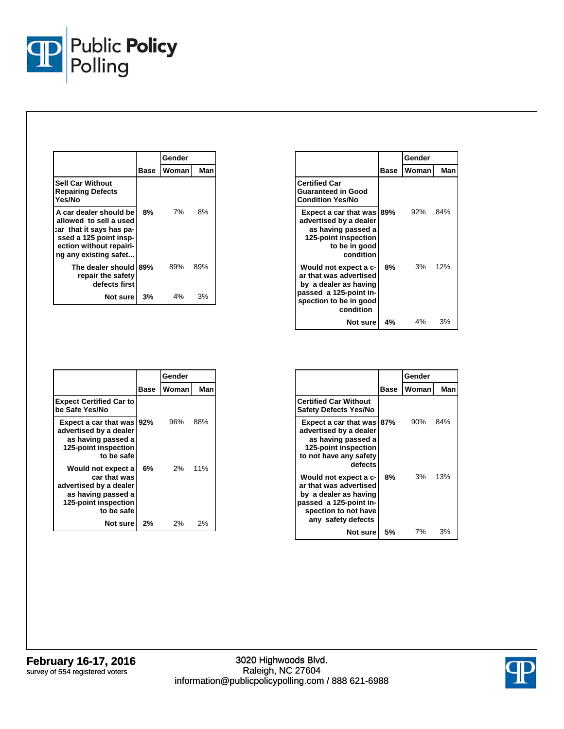

|                                                                                                                                                            |      | Gender |     |
|------------------------------------------------------------------------------------------------------------------------------------------------------------|------|--------|-----|
|                                                                                                                                                            | Base | Woman  | Man |
| <b>Sell Car Without</b><br><b>Repairing Defects</b><br>Yes/No                                                                                              |      |        |     |
| A car dealer should be<br>allowed to sell a used<br>car that it says has pa-<br>ssed a 125 point insp-<br>ection without repairi-<br>ng any existing safet | 8%   | 7%     | 8%  |
| The dealer should<br>repair the safety<br>defects first                                                                                                    | 89%  | 89%    | 89% |
| Not sure                                                                                                                                                   | 3%   | 4%     | 3%  |

|                                                                                                                                           |      | Gender |     |
|-------------------------------------------------------------------------------------------------------------------------------------------|------|--------|-----|
|                                                                                                                                           | Base | Woman  | Man |
| <b>Certified Car</b><br><b>Guaranteed in Good</b><br><b>Condition Yes/No</b>                                                              |      |        |     |
| Expect a car that was 89%<br>advertised by a dealer<br>as having passed a<br>125-point inspection<br>to be in good<br>condition           |      | 92%    | 84% |
| Would not expect a c-<br>ar that was advertised<br>by a dealer as having<br>passed a 125-point in-<br>spection to be in good<br>condition | 8%   | $3\%$  | 12% |
| Not surel                                                                                                                                 | 4%   | 4%     | 3%  |

|                                                                                                                          |      | Gender |     |
|--------------------------------------------------------------------------------------------------------------------------|------|--------|-----|
|                                                                                                                          | Base | Woman  | Man |
| <b>Expect Certified Car to</b><br>be Safe Yes/No                                                                         |      |        |     |
| Expect a car that was 92%<br>advertised by a dealer<br>as having passed a<br>125-point inspection<br>to be safe          |      | 96%    | 88% |
| Would not expect a<br>car that was<br>advertised by a dealer<br>as having passed a<br>125-point inspection<br>to be safe | 6%   | 2%     | 11% |
| Not sure                                                                                                                 | 2%   | 2%     | 2%  |

|                                                                                                                                                  |      | Gender |     |
|--------------------------------------------------------------------------------------------------------------------------------------------------|------|--------|-----|
|                                                                                                                                                  | Base | Woman  | Man |
| <b>Certified Car Without</b><br><b>Safety Defects Yes/No</b>                                                                                     |      |        |     |
| Expect a car that was 87%<br>advertised by a dealer<br>as having passed a<br>125-point inspection<br>to not have any safety<br>defects           |      | 90%    | 84% |
| Would not expect a c-<br>ar that was advertised<br>by a dealer as having<br>passed a 125-point in-<br>spection to not have<br>any safety defects | 8%   | 3%     | 13% |
| Not surel                                                                                                                                        | 5%   | 7%     | 3%  |

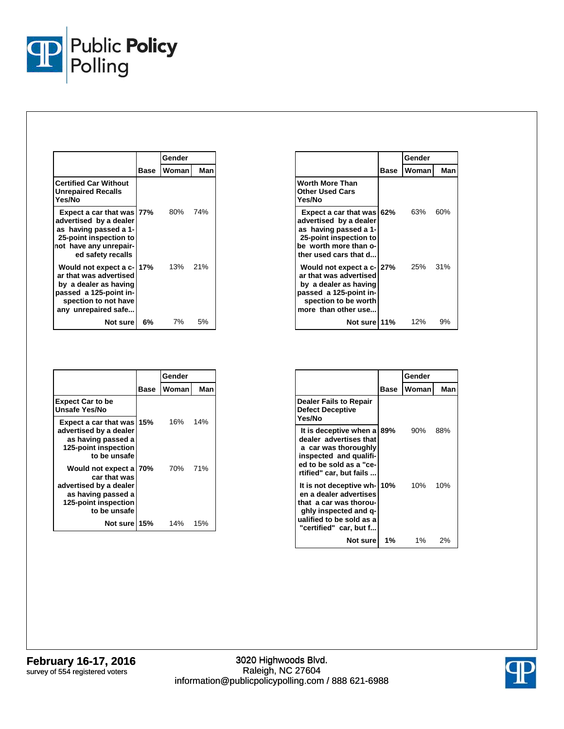

|                                                                                                                                                       |      | Gender  |     |
|-------------------------------------------------------------------------------------------------------------------------------------------------------|------|---------|-----|
|                                                                                                                                                       | Base | Woman   | Man |
| <b>Certified Car Without</b><br><b>Unrepaired Recalls</b><br>Yes/No                                                                                   |      |         |     |
| Expect a car that was 77%<br>advertised by a dealer<br>as having passed a 1-<br>25-point inspection to<br>not have any unrepair-<br>ed safety recalls |      | 80%     | 74% |
| Would not expect a c- 17%<br>ar that was advertised<br>by a dealer as having<br>passed a 125-point in-<br>spection to not have<br>any unrepaired safe |      | 13% 21% |     |
| Not surel                                                                                                                                             | 6%   | 7%      | 5%  |

|                                                                                                                                                       |      | Gender  |     |
|-------------------------------------------------------------------------------------------------------------------------------------------------------|------|---------|-----|
|                                                                                                                                                       | Base | Womanl  | Man |
| Worth More Than<br><b>Other Used Cars</b><br>Yes/No                                                                                                   |      |         |     |
| Expect a car that was<br>advertised by a dealer<br>as having passed a 1-<br>25-point inspection to<br>be worth more than o-<br>ther used cars that d  | 62%  | 63%     | 60% |
| Would not expect a c- 27%<br>ar that was advertised<br>by a dealer as having<br>passed a 125-point in-<br>spection to be worth<br>more than other use |      | 25% 31% |     |
| Not sure 11%                                                                                                                                          |      | 12%     | 9%  |

|                                                                                                                                |             | Gender |     |
|--------------------------------------------------------------------------------------------------------------------------------|-------------|--------|-----|
|                                                                                                                                | <b>Base</b> | Woman  | Man |
| <b>Expect Car to be</b><br>Unsafe Yes/No                                                                                       |             |        |     |
| Expect a car that was<br>advertised by a dealer<br>as having passed a<br>125-point inspection<br>to be unsafe                  | 15%         | 16%    | 14% |
| Would not expect a 70%<br>car that was<br>advertised by a dealer<br>as having passed a<br>125-point inspection<br>to be unsafe |             | 70%    | 71% |
| Not sure                                                                                                                       | 15%         | 14%    | 15% |

|                                                                                                                                                               |      | Gender |     |
|---------------------------------------------------------------------------------------------------------------------------------------------------------------|------|--------|-----|
|                                                                                                                                                               | Base | Woman  | Man |
| <b>Dealer Fails to Repair</b><br><b>Defect Deceptive</b><br>Yes/No                                                                                            |      |        |     |
| It is deceptive when a 89%<br>dealer advertises that<br>a car was thoroughly<br>inspected and qualifi-<br>ed to be sold as a "ce-<br>rtified" car, but fails  |      | 90%    | 88% |
| It is not deceptive wh-10%<br>en a dealer advertises<br>that a car was thorou-<br>ghly inspected and q-<br>ualified to be sold as a<br>"certified" car, but f |      | 10%    | 10% |
| Not sure                                                                                                                                                      | 1%   | $1\%$  | 2%  |

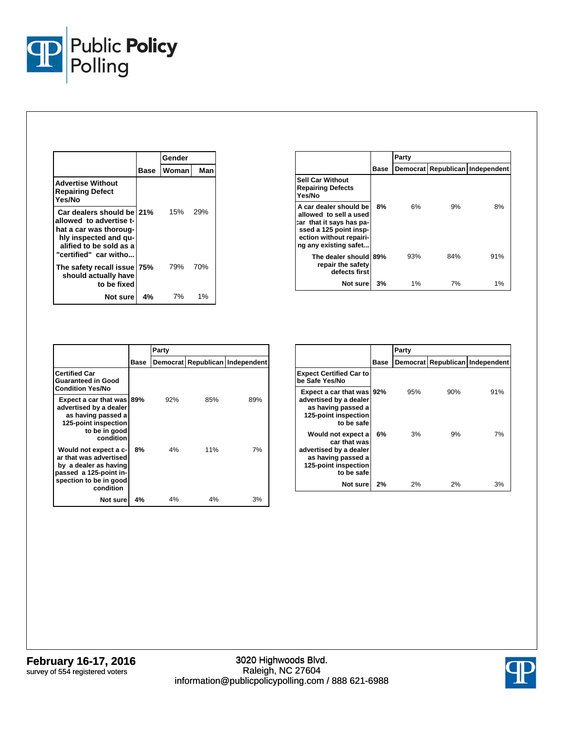

|                                                                                                                                                             |      | Gender |     |
|-------------------------------------------------------------------------------------------------------------------------------------------------------------|------|--------|-----|
|                                                                                                                                                             | Base | Woman  | Man |
| <b>Advertise Without</b><br><b>Repairing Defect</b><br>Yes/No                                                                                               |      |        |     |
| Car dealers should be 21%<br>allowed to advertise t-<br>hat a car was thoroug-<br>hly inspected and qu-<br>alified to be sold as a<br>"certified" car witho |      | 15%    | 29% |
| The safety recall issue 75%<br>should actually have<br>to be fixed                                                                                          |      | 79%    | 70% |
| Not surel                                                                                                                                                   | 4%   | 7%     | 1%  |

|                                                                                                                                                            |      | Party    |     |                          |  |
|------------------------------------------------------------------------------------------------------------------------------------------------------------|------|----------|-----|--------------------------|--|
|                                                                                                                                                            | Base | Democrat |     | Republican   Independent |  |
| <b>Sell Car Without</b><br><b>Repairing Defects</b><br>Yes/No                                                                                              |      |          |     |                          |  |
| A car dealer should be<br>allowed to sell a used<br>car that it says has pa-<br>ssed a 125 point insp-<br>ection without repairi-<br>ng any existing safet | 8%   | 6%       | 9%  | 8%                       |  |
| The dealer should 89%<br>repair the safety<br>defects first                                                                                                |      | 93%      | 84% | 91%                      |  |
| Not sure                                                                                                                                                   | 3%   | 1%       | 7%  | 1%                       |  |

|                                                                                                                                           |      | Party    |     |                        |
|-------------------------------------------------------------------------------------------------------------------------------------------|------|----------|-----|------------------------|
|                                                                                                                                           | Base | Democrat |     | Republican Independent |
| <b>Certified Car</b><br><b>Guaranteed in Good</b><br><b>Condition Yes/No</b>                                                              |      |          |     |                        |
| Expect a car that was 89%<br>advertised by a dealer<br>as having passed a<br>125-point inspection<br>to be in good<br>condition           |      | 92%      | 85% | 89%                    |
| Would not expect a c-<br>ar that was advertised<br>by a dealer as having<br>passed a 125-point in-<br>spection to be in good<br>condition | 8%   | 4%       | 11% | 7%                     |
| Not surel                                                                                                                                 | 4%   | 4%       | 4%  | 3%                     |

|                                                                                                                          |      | Party |     |                                 |  |
|--------------------------------------------------------------------------------------------------------------------------|------|-------|-----|---------------------------------|--|
|                                                                                                                          | Base |       |     | Democrat Republican Independent |  |
| <b>Expect Certified Car to</b><br>be Safe Yes/No                                                                         |      |       |     |                                 |  |
| Expect a car that was   92%<br>advertised by a dealer<br>as having passed a<br>125-point inspection<br>to be safe        |      | 95%   | 90% | 91%                             |  |
| Would not expect a<br>car that was<br>advertised by a dealer<br>as having passed a<br>125-point inspection<br>to be safe | 6%   | 3%    | 9%  | 7%                              |  |
| Not sure                                                                                                                 | 2%   | 2%    | 2%  | 3%                              |  |

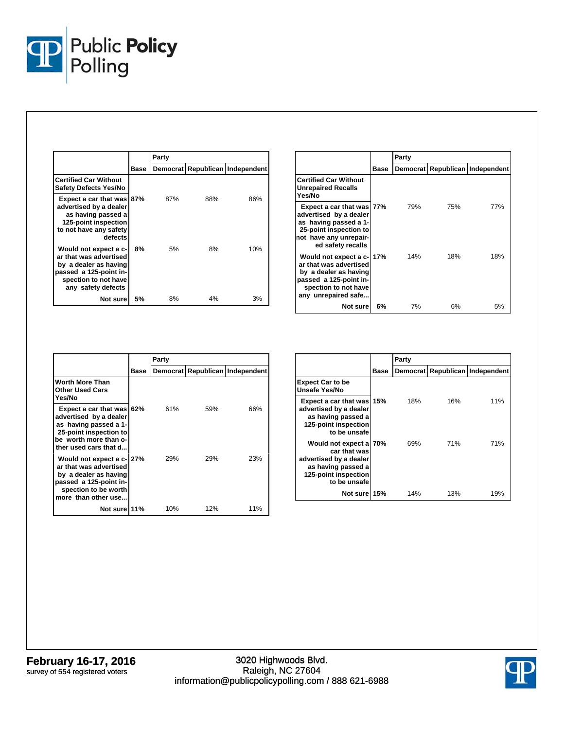

|                                                                                                                                                  |      | Party |     |                                 |
|--------------------------------------------------------------------------------------------------------------------------------------------------|------|-------|-----|---------------------------------|
|                                                                                                                                                  | Base |       |     | Democrat Republican Independent |
| <b>Certified Car Without</b><br><b>Safety Defects Yes/No</b>                                                                                     |      |       |     |                                 |
| Expect a car that was 87%<br>advertised by a dealer<br>as having passed a<br>125-point inspection<br>to not have any safety<br>defects           |      | 87%   | 88% | 86%                             |
| Would not expect a c-<br>ar that was advertised<br>by a dealer as having<br>passed a 125-point in-<br>spection to not have<br>any safety defects | 8%   | 5%    | 8%  | 10%                             |
| Not sure!                                                                                                                                        | 5%   | 8%    | 4%  | 3%                              |

|                                                                                                                                                       |      | Party    |     |                        |
|-------------------------------------------------------------------------------------------------------------------------------------------------------|------|----------|-----|------------------------|
|                                                                                                                                                       | Base | Democrat |     | Republican Independent |
| <b>Certified Car Without</b><br>Unrepaired Recalls<br>Yes/No                                                                                          |      |          |     |                        |
| Expect a car that was 77%<br>advertised by a dealer<br>as having passed a 1-<br>25-point inspection to<br>not have any unrepair-<br>ed safety recalls |      | 79%      | 75% | 77%                    |
| Would not expect a c-17%<br>ar that was advertised<br>by a dealer as having<br>passed a 125-point in-<br>spection to not have<br>any unrepaired safe  |      | 14%      | 18% | 18%                    |
| Not sure                                                                                                                                              | 6%   | 7%       | 6%  | 5%                     |

|                                                                                                                                                          |      | Party |     |                                 |
|----------------------------------------------------------------------------------------------------------------------------------------------------------|------|-------|-----|---------------------------------|
|                                                                                                                                                          | Base |       |     | Democrat Republican Independent |
| Worth More Than<br><b>Other Used Cars</b><br>Yes/No                                                                                                      |      |       |     |                                 |
| Expect a car that was 62%<br>advertised by a dealer<br>as having passed a 1-<br>25-point inspection to<br>be worth more than o-<br>ther used cars that d |      | 61%   | 59% | 66%                             |
| Would not expect a c-127%<br>ar that was advertised<br>by a dealer as having<br>passed a 125-point in-<br>spection to be worth<br>more than other use    |      | 29%   | 29% | 23%                             |
| Not sure 11%                                                                                                                                             |      | 10%   | 12% | 11%                             |

|                                                                                                                                |      | Party |     |                                 |
|--------------------------------------------------------------------------------------------------------------------------------|------|-------|-----|---------------------------------|
|                                                                                                                                | Base |       |     | Democrat Republican Independent |
| <b>Expect Car to be</b><br>Unsafe Yes/No                                                                                       |      |       |     |                                 |
| Expect a car that was<br>advertised by a dealer<br>as having passed a<br>125-point inspection<br>to be unsafe                  | 15%  | 18%   | 16% | 11%                             |
| Would not expect a 70%<br>car that was<br>advertised by a dealer<br>as having passed a<br>125-point inspection<br>to be unsafe |      | 69%   | 71% | 71%                             |
| Not sure 15%                                                                                                                   |      | 14%   | 13% | 19%                             |

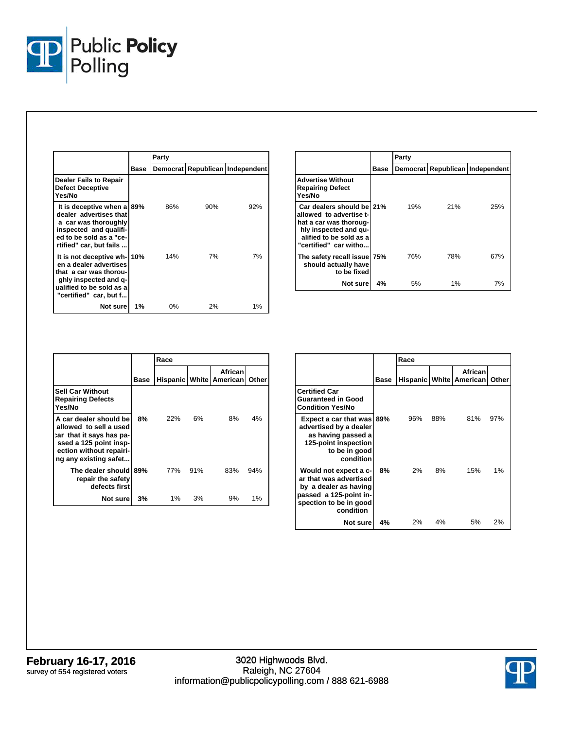

|                                                                                                                                                               |      | Party |     |                                 |
|---------------------------------------------------------------------------------------------------------------------------------------------------------------|------|-------|-----|---------------------------------|
|                                                                                                                                                               | Base |       |     | Democrat Republican Independent |
| Dealer Fails to Repair<br><b>Defect Deceptive</b><br>Yes/No                                                                                                   |      |       |     |                                 |
| It is deceptive when a<br>dealer advertises that<br>a car was thoroughly<br>inspected and qualifi-<br>ed to be sold as a "ce-<br>rtified" car, but fails      | 89%  | 86%   | 90% | 92%                             |
| It is not deceptive wh-10%<br>en a dealer advertises<br>that a car was thorou-<br>ghly inspected and q-<br>ualified to be sold as a<br>"certified" car, but f |      | 14%   | 7%  | 7%                              |
| Not sure                                                                                                                                                      | 1%   | $0\%$ | 2%  | $1\%$                           |

|                                                                                                                                                             |      | Party |     |                                 |
|-------------------------------------------------------------------------------------------------------------------------------------------------------------|------|-------|-----|---------------------------------|
|                                                                                                                                                             | Base |       |     | Democrat Republican Independent |
| Advertise Without<br><b>Repairing Defect</b><br>Yes/No                                                                                                      |      |       |     |                                 |
| Car dealers should be 21%<br>allowed to advertise t-<br>hat a car was thoroug-<br>hly inspected and gu-<br>alified to be sold as a<br>"certified" car witho |      | 19%   | 21% | 25%                             |
| The safety recall issue 75%<br>should actually have<br>to be fixed                                                                                          |      | 76%   | 78% | 67%                             |
| Not sure                                                                                                                                                    | 4%   | 5%    | 1%  | 7%                              |

|                                                                                                                                                            |      | Race                  |     |                     |       |  |
|------------------------------------------------------------------------------------------------------------------------------------------------------------|------|-----------------------|-----|---------------------|-------|--|
|                                                                                                                                                            | Base | <b>Hispanic White</b> |     | African<br>American | Other |  |
| <b>Sell Car Without</b><br><b>Repairing Defects</b><br>Yes/No                                                                                              |      |                       |     |                     |       |  |
| A car dealer should be<br>allowed to sell a used<br>car that it says has pa-<br>ssed a 125 point insp-<br>ection without repairi-<br>ng any existing safet | 8%   | 22%                   | 6%  | 8%                  | 4%    |  |
| The dealer should<br>repair the safety<br>defects first                                                                                                    | 89%  | 77%                   | 91% | 83%                 | 94%   |  |
| Not sure                                                                                                                                                   | 3%   | 1%                    | 3%  | 9%                  | 1%    |  |

|                                                                                                                                           |      | Race |     |                                        |       |  |
|-------------------------------------------------------------------------------------------------------------------------------------------|------|------|-----|----------------------------------------|-------|--|
|                                                                                                                                           | Base |      |     | African<br>Hispanic   White   American | Other |  |
| <b>Certified Car</b><br><b>Guaranteed in Good</b><br><b>Condition Yes/No</b>                                                              |      |      |     |                                        |       |  |
| <b>Expect a car that was 89%</b><br>advertised by a dealer<br>as having passed a<br>125-point inspection<br>to be in good<br>condition    |      | 96%  | 88% | 81%                                    | 97%   |  |
| Would not expect a c-<br>ar that was advertised<br>by a dealer as having<br>passed a 125-point in-<br>spection to be in good<br>condition | 8%   | 2%   | 8%  | 15%                                    | 1%    |  |
| Not sure                                                                                                                                  | 4%   | 2%   | 4%  | 5%                                     | 2%    |  |

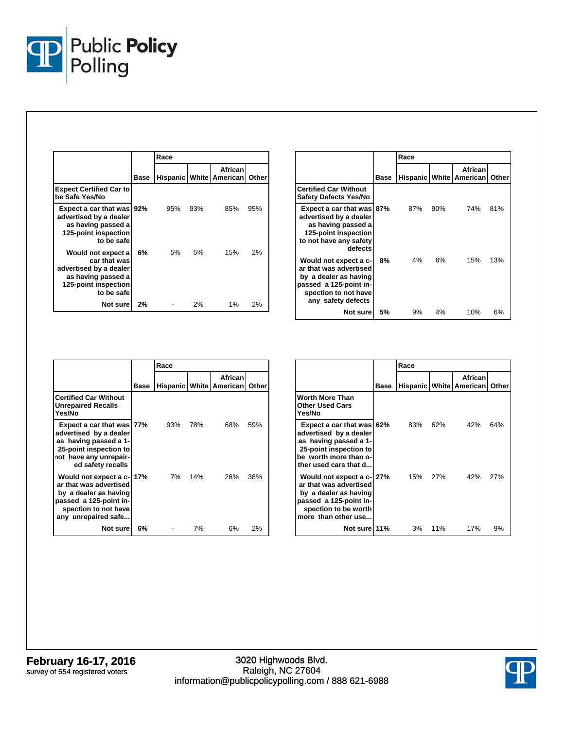

|                                                                                                                          | Base |     |     | African<br>Hispanic   White   American | Other |
|--------------------------------------------------------------------------------------------------------------------------|------|-----|-----|----------------------------------------|-------|
| <b>Expect Certified Car to</b><br>be Safe Yes/No                                                                         |      |     |     |                                        |       |
| Expect a car that was   92%<br>advertised by a dealer<br>as having passed a<br>125-point inspection<br>to be safe        |      | 95% | 93% | 85%                                    | 95%   |
| Would not expect a<br>car that was<br>advertised by a dealer<br>as having passed a<br>125-point inspection<br>to be safe | 6%   | 5%  | 5%  | 15%                                    | 2%    |
| Not sure                                                                                                                 | 2%   |     | 2%  | $1\%$                                  | 2%    |

|                                                                                                                                                  |      | Race  |     |                                        |       |
|--------------------------------------------------------------------------------------------------------------------------------------------------|------|-------|-----|----------------------------------------|-------|
|                                                                                                                                                  | Base |       |     | African<br>Hispanic   White   American | Other |
| <b>Certified Car Without</b><br>Safety Defects Yes/No                                                                                            |      |       |     |                                        |       |
| Expect a car that was 87%<br>advertised by a dealer<br>as having passed a<br>125-point inspection<br>to not have any safety<br>defects           |      | 87%   | 90% | 74%                                    | 81%   |
| Would not expect a c-<br>ar that was advertised<br>by a dealer as having<br>passed a 125-point in-<br>spection to not have<br>any safety defects | 8%   | $4\%$ | 6%  | 15%                                    | 13%   |
| Not surel                                                                                                                                        | 5%   | 9%    | 4%  | 10%                                    | 6%    |

|                                                                                                                                                       |      | Race |     |                                        |       |
|-------------------------------------------------------------------------------------------------------------------------------------------------------|------|------|-----|----------------------------------------|-------|
|                                                                                                                                                       | Base |      |     | African<br>Hispanic   White   American | Other |
| <b>Certified Car Without</b><br><b>Unrepaired Recalls</b><br>Yes/No                                                                                   |      |      |     |                                        |       |
| Expect a car that was 77%<br>advertised by a dealer<br>as having passed a 1-<br>25-point inspection to<br>not have any unrepair-<br>ed safety recalls |      | 93%  | 78% | 68%                                    | 59%   |
| Would not expect a c-17%<br>ar that was advertised<br>by a dealer as having<br>passed a 125-point in-<br>spection to not have<br>any unrepaired safe  |      | 7%   | 14% | 26%                                    | 38%   |
| Not sure                                                                                                                                              | 6%   |      | 7%  | 6%                                     | 2%    |

|                                                                                                                                                          |      | Race |            |                                           |       |
|----------------------------------------------------------------------------------------------------------------------------------------------------------|------|------|------------|-------------------------------------------|-------|
|                                                                                                                                                          | Base |      |            | African<br><b>Hispanic White American</b> | Other |
| <b>Worth More Than</b><br><b>Other Used Cars</b><br>Yes/No                                                                                               |      |      |            |                                           |       |
| Expect a car that was 62%<br>advertised by a dealer<br>as having passed a 1-<br>25-point inspection to<br>be worth more than o-<br>ther used cars that d |      | 83%  | 62%        | 42%                                       | 64%   |
| Would not expect a c-127%<br>ar that was advertised<br>by a dealer as having<br>passed a 125-point in-<br>spection to be worth<br>more than other use    |      | 15%  | <b>27%</b> | 42%                                       | 27%   |
| Not sure 11%                                                                                                                                             |      | 3%   | 11%        | 17%                                       | 9%    |

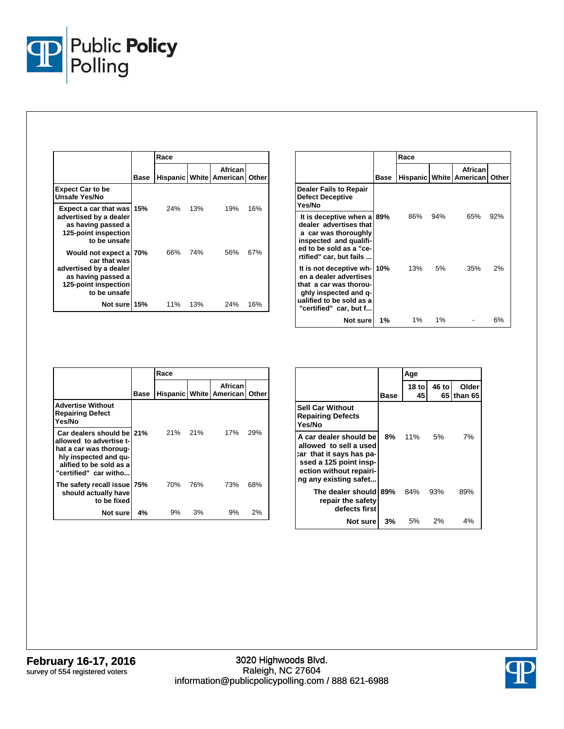

|                                                                                                                                | Race |     |     |                                        |       |
|--------------------------------------------------------------------------------------------------------------------------------|------|-----|-----|----------------------------------------|-------|
|                                                                                                                                | Base |     |     | African<br>Hispanic   White   American | Other |
| <b>Expect Car to be</b><br>Unsafe Yes/No                                                                                       |      |     |     |                                        |       |
| Expect a car that was 15%<br>advertised by a dealer<br>as having passed a<br>125-point inspection<br>to be unsafe              |      | 24% | 13% | 19%                                    | 16%   |
| Would not expect a 70%<br>car that was<br>advertised by a dealer<br>as having passed a<br>125-point inspection<br>to be unsafe |      | 66% | 74% | 56%                                    | 67%   |
| Not sure 15%                                                                                                                   |      | 11% | 13% | 24%                                    | 16%   |

|                                                                                                                                                               |      | Race  |     |                                        |       |
|---------------------------------------------------------------------------------------------------------------------------------------------------------------|------|-------|-----|----------------------------------------|-------|
|                                                                                                                                                               | Base |       |     | African<br>Hispanic   White   American | Other |
| <b>Dealer Fails to Repair</b><br><b>Defect Deceptive</b><br>Yes/No                                                                                            |      |       |     |                                        |       |
| It is deceptive when a 89%<br>dealer advertises that<br>a car was thoroughly<br>inspected and qualifi-<br>ed to be sold as a "ce-<br>rtified" car, but fails  |      | 86%   | 94% | 65%                                    | 92%   |
| It is not deceptive wh-10%<br>en a dealer advertises<br>that a car was thorou-<br>ghly inspected and q-<br>ualified to be sold as a<br>"certified" car, but f |      | 13%   | 5%  | 35%                                    | 2%    |
| Not sure I                                                                                                                                                    | 1%   | $1\%$ | 1%  |                                        | 6%    |

|                                                                                                                                                             |      | Race |     |                                        |       |  |
|-------------------------------------------------------------------------------------------------------------------------------------------------------------|------|------|-----|----------------------------------------|-------|--|
|                                                                                                                                                             | Base |      |     | African<br>Hispanic   White   American | Other |  |
| <b>Advertise Without</b><br><b>Repairing Defect</b><br>Yes/No                                                                                               |      |      |     |                                        |       |  |
| Car dealers should be 21%<br>allowed to advertise t-<br>hat a car was thoroug-<br>hly inspected and qu-<br>alified to be sold as a<br>"certified" car witho |      | 21%  | 21% | 17%                                    | 29%   |  |
| The safety recall issue 75%<br>should actually have<br>to be fixed                                                                                          |      | 70%  | 76% | 73%                                    | 68%   |  |
| Not sure                                                                                                                                                    | 4%   | 9%   | 3%  | 9%                                     | 2%    |  |

|                                                                                                                                                            |             | Age         |             |                  |
|------------------------------------------------------------------------------------------------------------------------------------------------------------|-------------|-------------|-------------|------------------|
|                                                                                                                                                            | <b>Base</b> | 18 to<br>45 | 46 to<br>65 | Older<br>than 65 |
| <b>Sell Car Without</b><br><b>Repairing Defects</b><br>Yes/No                                                                                              |             |             |             |                  |
| A car dealer should be<br>allowed to sell a used<br>car that it says has pa-<br>ssed a 125 point insp-<br>ection without repairi-<br>ng any existing safet | 8%          | 11%         | 5%          | 7%               |
| The dealer should<br>repair the safety<br>defects first                                                                                                    | 89%         | 84%         | 93%         | 89%              |
| Not sure                                                                                                                                                   | 3%          | 5%          | 2%          | 4%               |

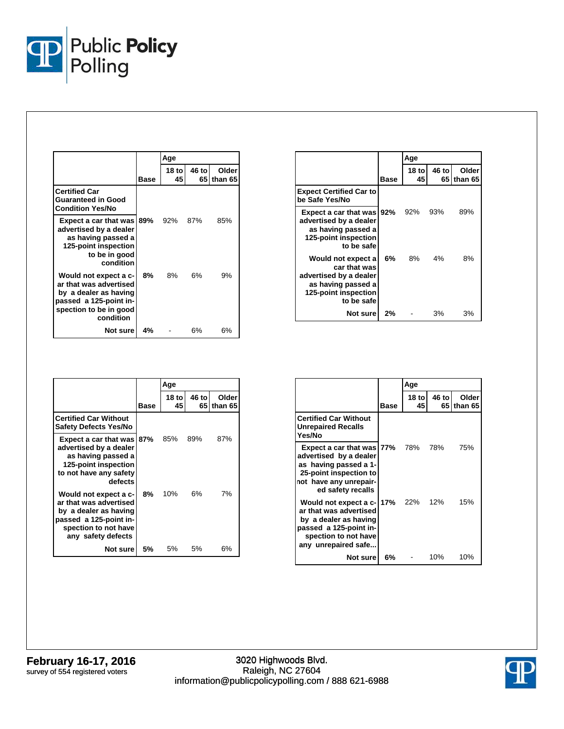

|                                                                                                                                           |      | Age          |               |                  |
|-------------------------------------------------------------------------------------------------------------------------------------------|------|--------------|---------------|------------------|
|                                                                                                                                           | Base | 18 tol<br>45 | 46 to<br>65 I | Older<br>than 65 |
| <b>Certified Car</b><br><b>Guaranteed in Good</b><br><b>Condition Yes/No</b>                                                              |      |              |               |                  |
| Expect a car that was<br>advertised by a dealer<br>as having passed a<br>125-point inspection<br>to be in good<br>condition               | 89%  | 92%          | 87%           | 85%              |
| Would not expect a c-<br>ar that was advertised<br>by a dealer as having<br>passed a 125-point in-<br>spection to be in good<br>condition | 8%   | 8%           | 6%            | 9%               |
| Not sure                                                                                                                                  | 4%   |              | 6%            | 6%               |

|                                                                                                                          |      | Age                    |             |                   |
|--------------------------------------------------------------------------------------------------------------------------|------|------------------------|-------------|-------------------|
|                                                                                                                          | Base | 18 <sub>to</sub><br>45 | 46 to<br>65 | Older<br>lthan 65 |
| <b>Expect Certified Car to</b><br>be Safe Yes/No                                                                         |      |                        |             |                   |
| Expect a car that was   92%<br>advertised by a dealer<br>as having passed a<br>125-point inspection<br>to be safe        |      | 92%                    | 93%         | 89%               |
| Would not expect a<br>car that was<br>advertised by a dealer<br>as having passed a<br>125-point inspection<br>to be safe | 6%   | 8%                     | 4%          | 8%                |
| Not sure                                                                                                                 | 2%   |                        | 3%          | 3%                |

|                                                                                                                                                  |      | Age          |               |                  |
|--------------------------------------------------------------------------------------------------------------------------------------------------|------|--------------|---------------|------------------|
|                                                                                                                                                  | Base | 18 tol<br>45 | 46 to<br>65 I | Older<br>than 65 |
| <b>Certified Car Without</b><br><b>Safety Defects Yes/No</b>                                                                                     |      |              |               |                  |
| Expect a car that was<br>advertised by a dealer<br>as having passed a<br>125-point inspection<br>to not have any safety<br>defects               | 87%  | 85%          | 89%           | 87%              |
| Would not expect a c-<br>ar that was advertised<br>by a dealer as having<br>passed a 125-point in-<br>spection to not have<br>any safety defects | 8%   | 10%          | 6%            | 7%               |
| Not sure                                                                                                                                         | 5%   | 5% a         | 5%            | 6%               |

|                                                                                                                                                              |      | Age          |       |                     |
|--------------------------------------------------------------------------------------------------------------------------------------------------------------|------|--------------|-------|---------------------|
|                                                                                                                                                              | Base | 18 tol<br>45 | 46 to | Older<br>65 than 65 |
| <b>Certified Car Without</b><br><b>Unrepaired Recalls</b><br>Yes/No                                                                                          |      |              |       |                     |
| Expect a car that was 77%<br>advertised by a dealer<br>as having passed a 1-<br>25-point inspection to<br>not have any unrepair-<br>ed safety recalls        |      | 78%          | 78%   | 75%                 |
| Would not expect a c-17% 22% 12%<br>ar that was advertised<br>by a dealer as having<br>passed a 125-point in-<br>spection to not have<br>any unrepaired safe |      |              |       | 15%                 |
| Not surel                                                                                                                                                    | 6%   |              | 10%   | 10%                 |